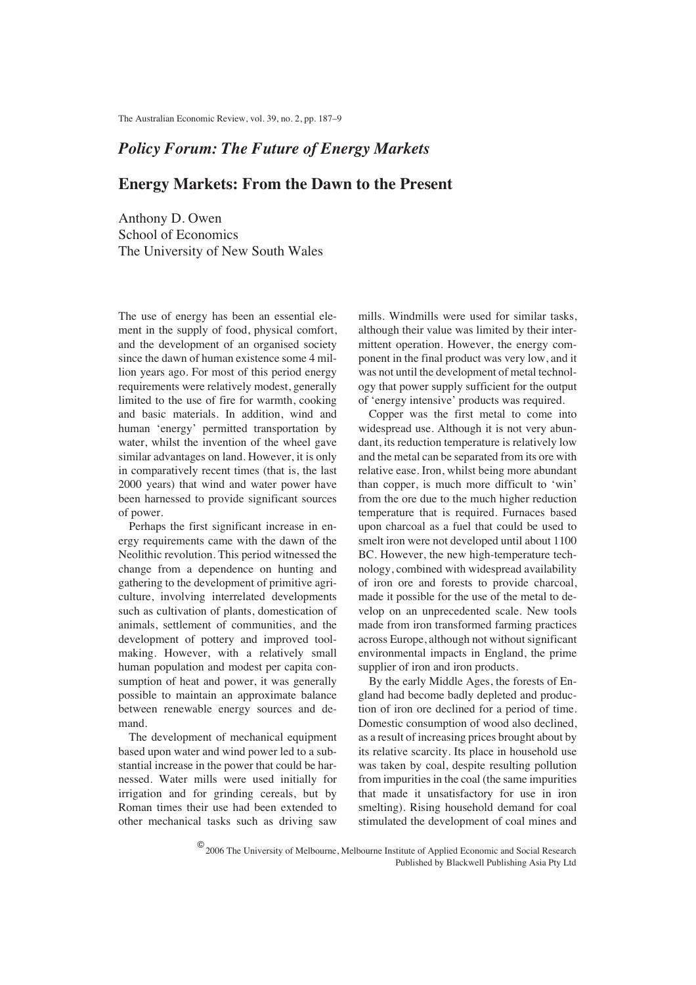## *Policy Forum: The Future of Energy Markets*

## **Energy Markets: From the Dawn to the Present**

Anthony D. Owen School of Economics The University of New South Wales

The use of energy has been an essential element in the supply of food, physical comfort, and the development of an organised society since the dawn of human existence some 4 million years ago. For most of this period energy requirements were relatively modest, generally limited to the use of fire for warmth, cooking and basic materials. In addition, wind and human 'energy' permitted transportation by water, whilst the invention of the wheel gave similar advantages on land. However, it is only in comparatively recent times (that is, the last 2000 years) that wind and water power have been harnessed to provide significant sources of power.

Perhaps the first significant increase in energy requirements came with the dawn of the Neolithic revolution. This period witnessed the change from a dependence on hunting and gathering to the development of primitive agriculture, involving interrelated developments such as cultivation of plants, domestication of animals, settlement of communities, and the development of pottery and improved toolmaking. However, with a relatively small human population and modest per capita consumption of heat and power, it was generally possible to maintain an approximate balance between renewable energy sources and demand.

The development of mechanical equipment based upon water and wind power led to a substantial increase in the power that could be harnessed. Water mills were used initially for irrigation and for grinding cereals, but by Roman times their use had been extended to other mechanical tasks such as driving saw

mills. Windmills were used for similar tasks, although their value was limited by their intermittent operation. However, the energy component in the final product was very low, and it was not until the development of metal technology that power supply sufficient for the output of 'energy intensive' products was required.

Copper was the first metal to come into widespread use. Although it is not very abundant, its reduction temperature is relatively low and the metal can be separated from its ore with relative ease. Iron, whilst being more abundant than copper, is much more difficult to 'win' from the ore due to the much higher reduction temperature that is required. Furnaces based upon charcoal as a fuel that could be used to smelt iron were not developed until about 1100 BC. However, the new high-temperature technology, combined with widespread availability of iron ore and forests to provide charcoal, made it possible for the use of the metal to develop on an unprecedented scale. New tools made from iron transformed farming practices across Europe, although not without significant environmental impacts in England, the prime supplier of iron and iron products.

By the early Middle Ages, the forests of England had become badly depleted and production of iron ore declined for a period of time. Domestic consumption of wood also declined, as a result of increasing prices brought about by its relative scarcity. Its place in household use was taken by coal, despite resulting pollution from impurities in the coal (the same impurities that made it unsatisfactory for use in iron smelting). Rising household demand for coal stimulated the development of coal mines and

 $^{\circledR}$  2006 The University of Melbourne, Melbourne Institute of Applied Economic and Social Research Published by Blackwell Publishing Asia Pty Ltd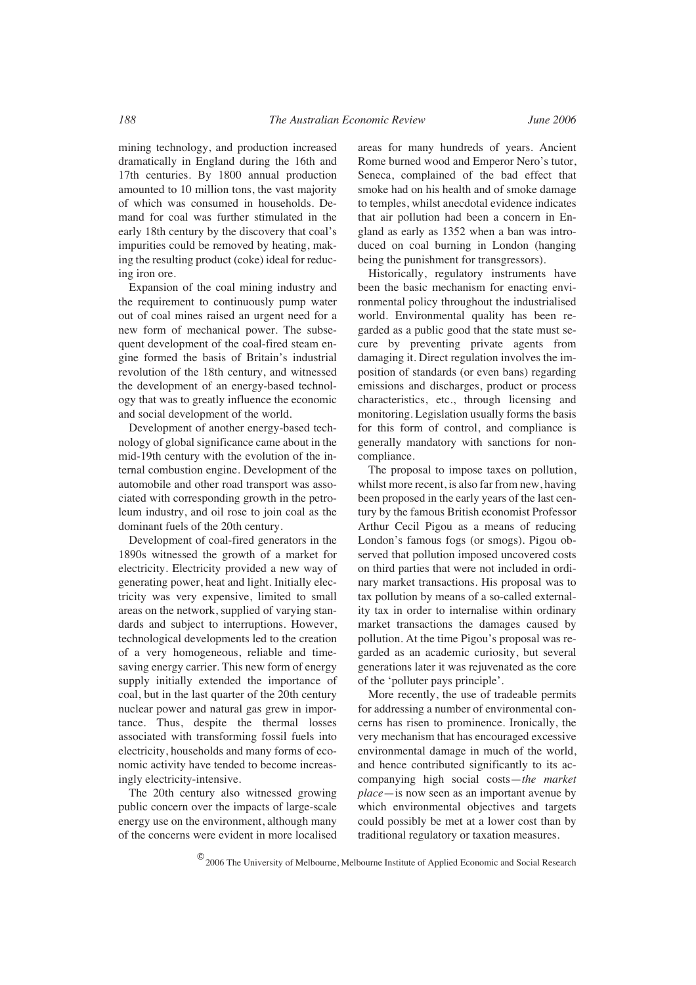mining technology, and production increased dramatically in England during the 16th and 17th centuries. By 1800 annual production amounted to 10 million tons, the vast majority of which was consumed in households. Demand for coal was further stimulated in the early 18th century by the discovery that coal's impurities could be removed by heating, making the resulting product (coke) ideal for reducing iron ore.

Expansion of the coal mining industry and the requirement to continuously pump water out of coal mines raised an urgent need for a new form of mechanical power. The subsequent development of the coal-fired steam engine formed the basis of Britain's industrial revolution of the 18th century, and witnessed the development of an energy-based technology that was to greatly influence the economic and social development of the world.

Development of another energy-based technology of global significance came about in the mid-19th century with the evolution of the internal combustion engine. Development of the automobile and other road transport was associated with corresponding growth in the petroleum industry, and oil rose to join coal as the dominant fuels of the 20th century.

Development of coal-fired generators in the 1890s witnessed the growth of a market for electricity. Electricity provided a new way of generating power, heat and light. Initially electricity was very expensive, limited to small areas on the network, supplied of varying standards and subject to interruptions. However, technological developments led to the creation of a very homogeneous, reliable and timesaving energy carrier. This new form of energy supply initially extended the importance of coal, but in the last quarter of the 20th century nuclear power and natural gas grew in importance. Thus, despite the thermal losses associated with transforming fossil fuels into electricity, households and many forms of economic activity have tended to become increasingly electricity-intensive.

The 20th century also witnessed growing public concern over the impacts of large-scale energy use on the environment, although many of the concerns were evident in more localised

areas for many hundreds of years. Ancient Rome burned wood and Emperor Nero's tutor, Seneca, complained of the bad effect that smoke had on his health and of smoke damage to temples, whilst anecdotal evidence indicates that air pollution had been a concern in England as early as 1352 when a ban was introduced on coal burning in London (hanging being the punishment for transgressors).

Historically, regulatory instruments have been the basic mechanism for enacting environmental policy throughout the industrialised world. Environmental quality has been regarded as a public good that the state must secure by preventing private agents from damaging it. Direct regulation involves the imposition of standards (or even bans) regarding emissions and discharges, product or process characteristics, etc., through licensing and monitoring. Legislation usually forms the basis for this form of control, and compliance is generally mandatory with sanctions for noncompliance.

The proposal to impose taxes on pollution, whilst more recent, is also far from new, having been proposed in the early years of the last century by the famous British economist Professor Arthur Cecil Pigou as a means of reducing London's famous fogs (or smogs). Pigou observed that pollution imposed uncovered costs on third parties that were not included in ordinary market transactions. His proposal was to tax pollution by means of a so-called externality tax in order to internalise within ordinary market transactions the damages caused by pollution. At the time Pigou's proposal was regarded as an academic curiosity, but several generations later it was rejuvenated as the core of the 'polluter pays principle'.

More recently, the use of tradeable permits for addressing a number of environmental concerns has risen to prominence. Ironically, the very mechanism that has encouraged excessive environmental damage in much of the world, and hence contributed significantly to its accompanying high social costs—*the market place*—is now seen as an important avenue by which environmental objectives and targets could possibly be met at a lower cost than by traditional regulatory or taxation measures.

© 2006 The University of Melbourne, Melbourne Institute of Applied Economic and Social Research